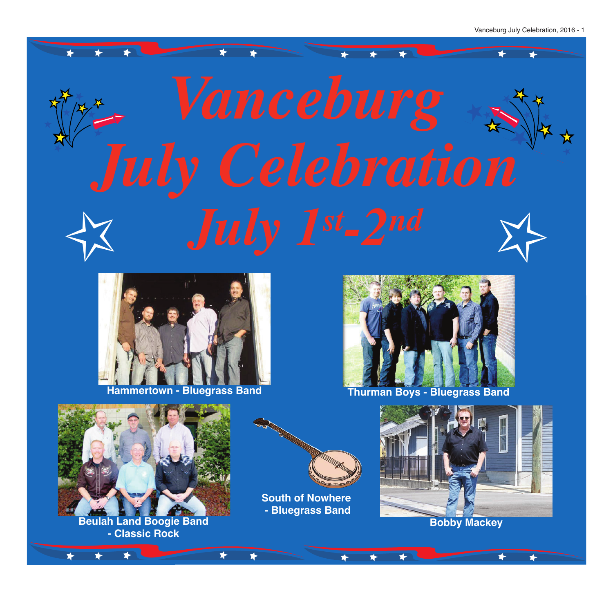



**South of Nowhere - Bluegrass Band**

**Beulah Land Boogie Band - Classic Rock**



**Bobby Mackey**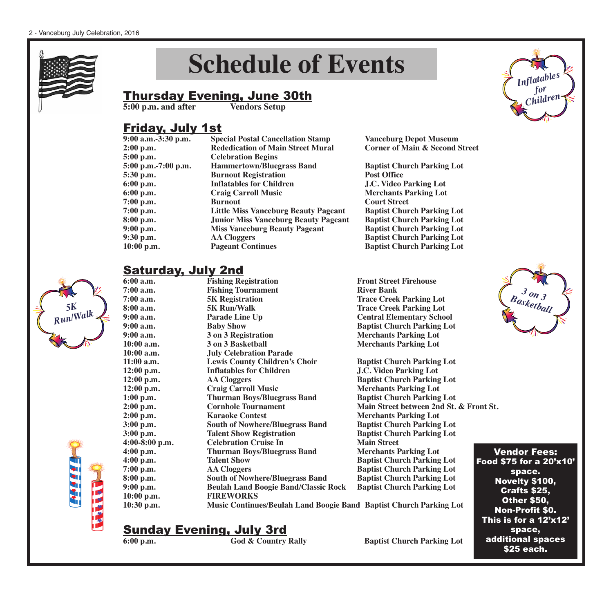

*5K Run/Walk*

# **Schedule of Events**

## **Thursday Evening, June 30th**<br>5:00 p.m. and after Vendors Setup

**5:00 p.m. and after** 

#### Friday, July 1st

| <b>Special Postal Cancellation Stamp</b>    | <b>Vanceburg Depot Museum</b>             |
|---------------------------------------------|-------------------------------------------|
| <b>Rededication of Main Street Mural</b>    | <b>Corner of Main &amp; Second Street</b> |
| <b>Celebration Begins</b>                   |                                           |
| <b>Hammertown/Bluegrass Band</b>            | <b>Baptist Church Parking Lot</b>         |
| <b>Burnout Registration</b>                 | <b>Post Office</b>                        |
| <b>Inflatables for Children</b>             | <b>J.C. Video Parking Lot</b>             |
| <b>Craig Carroll Music</b>                  | <b>Merchants Parking Lot</b>              |
| <b>Burnout</b>                              | <b>Court Street</b>                       |
| <b>Little Miss Vanceburg Beauty Pageant</b> | <b>Baptist Church Parking Lot</b>         |
| <b>Junior Miss Vanceburg Beauty Pageant</b> | <b>Baptist Church Parking Lot</b>         |
| <b>Miss Vanceburg Beauty Pageant</b>        | <b>Baptist Church Parking Lot</b>         |
| <b>AA Cloggers</b>                          | <b>Baptist Church Parking Lot</b>         |
| <b>Pageant Continues</b>                    | <b>Baptist Church Parking Lot</b>         |
|                                             |                                           |

# **Saturday, July 2nd**<br>6:00 a.m. **Fishing Registration**

| 6:00 a.m.      | <b>Fishing Registration</b>                                        | <b>Front Street Firehouse</b>     |
|----------------|--------------------------------------------------------------------|-----------------------------------|
| $7:00$ a.m.    | <b>Fishing Tournament</b>                                          | <b>River Bank</b>                 |
| $7:00$ a.m.    | <b>5K Registration</b>                                             | <b>Trace Creek Parking Lot</b>    |
| 8:00 a.m.      | <b>5K Run/Walk</b>                                                 | <b>Trace Creek Parking Lot</b>    |
| $9:00$ a.m.    | Parade Line Up                                                     | <b>Central Elementary School</b>  |
| $9:00$ a.m.    | <b>Baby Show</b>                                                   | <b>Baptist Church Parking Lot</b> |
| $9:00$ a.m.    | 3 on 3 Registration                                                | <b>Merchants Parking Lot</b>      |
| $10:00$ a.m.   | 3 on 3 Basketball                                                  | <b>Merchants Parking Lot</b>      |
| $10:00$ a.m.   | <b>July Celebration Parade</b>                                     |                                   |
| $11:00$ a.m.   | <b>Lewis County Children's Choir</b>                               | <b>Baptist Church Parking Lot</b> |
| 12:00 p.m.     | <b>Inflatables for Children</b>                                    | <b>J.C. Video Parking Lot</b>     |
| 12:00 p.m.     | <b>AA Cloggers</b>                                                 | <b>Baptist Church Parking Lot</b> |
| 12:00 p.m.     | <b>Craig Carroll Music</b>                                         | <b>Merchants Parking Lot</b>      |
| 1:00 p.m.      | <b>Thurman Boys/Bluegrass Band</b>                                 | <b>Baptist Church Parking Lot</b> |
| $2:00$ p.m.    | <b>Cornhole Tournament</b>                                         | Main Street between 2nd St. &     |
| $2:00$ p.m.    | <b>Karaoke Contest</b>                                             | <b>Merchants Parking Lot</b>      |
| 3:00 p.m.      | <b>South of Nowhere/Bluegrass Band</b>                             | <b>Baptist Church Parking Lot</b> |
| 3:00 p.m.      | <b>Talent Show Registration</b>                                    | <b>Baptist Church Parking Lot</b> |
| 4:00-8:00 p.m. | <b>Celebration Cruise In</b>                                       | <b>Main Street</b>                |
| 4:00 p.m.      | <b>Thurman Boys/Bluegrass Band</b>                                 | <b>Merchants Parking Lot</b>      |
| 4:00 p.m.      | <b>Talent Show</b>                                                 | <b>Baptist Church Parking Lot</b> |
| $7:00$ p.m.    | <b>AA Cloggers</b>                                                 | <b>Baptist Church Parking Lot</b> |
| 8:00 p.m.      | <b>South of Nowhere/Bluegrass Band</b>                             | <b>Baptist Church Parking Lot</b> |
| $9:00$ p.m.    | <b>Beulah Land Boogie Band/Classic Rock</b>                        | <b>Baptist Church Parking Lot</b> |
| 10:00 p.m.     | <b>FIREWORKS</b>                                                   |                                   |
| 10:30 p.m.     | Music Continues/Beulah Land Boogie Band Baptist Church Parking Lot |                                   |

**1:00 p.m. Thurman Boys/Bluegrass Band Baptist Church Parking Lot 2.00 p.m. Prime Street between 2nd St. & Front St. 2:00 p.m. Karaoke Contest Merchants Parking Lot 3:00 p.m. South of Nowhere/Bluegrass Band Baptist Church Parking Lot 3.00 Parking Parking Parking Lot Baptist Church Parking Lot 4:00-8:00 p.m. Celebration Cruise In Main Street 4:00 p.m. Thurman Boys/Bluegrass Band Merchants Parking Lot 4.00 p.m. <b>Example 1 Baptist Church Parking Lot 7:00 p.m. AA Cloggers Baptist Church Parking Lot 8:00 p.m. South of Nowhere/Bluegrass Band Baptist Church Parking Lot**



*Inflatables for Children*

Vendor Fees: Food \$75 for a 20'x10' space. Novelty \$100, Crafts \$25, Other \$50, Non-Profit \$0. This is for a 12'x12' space, additional spaces \$25 each.

# **Sunday Evening, July 3rd**<br> $\frac{6:00 \text{ p.m.}}{6 \text{ od } \& \text{ Country}$  Rally

**6:00 Baptist Church Parking Lot**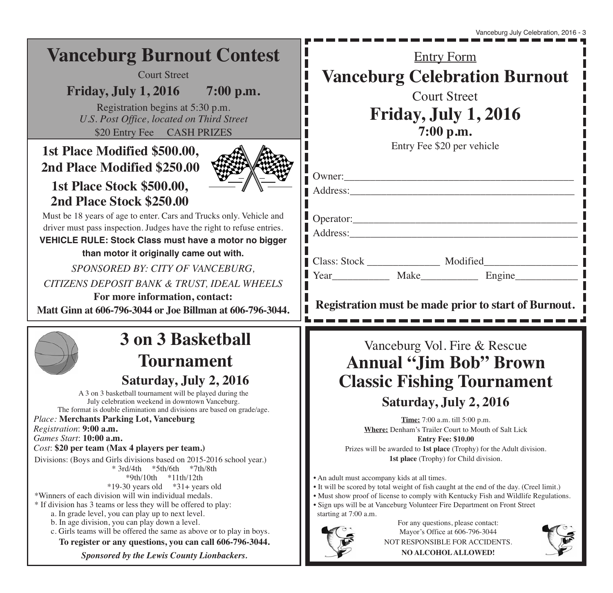#### Entry Form **Vanceburg Celebration Burnout** Court Street **Friday, July 1, 2016 7:00 p.m.** Entry Fee \$20 per vehicle Owner:\_\_\_\_\_\_\_\_\_\_\_\_\_\_\_\_\_\_\_\_\_\_\_\_\_\_\_\_\_\_\_\_\_\_\_\_\_\_\_\_\_\_\_\_ Address:\_\_\_\_\_\_\_\_\_\_\_\_\_\_\_\_\_\_\_\_\_\_\_\_\_\_\_\_\_\_\_\_\_\_\_\_\_\_\_\_\_\_\_ Operator:\_\_\_\_\_\_\_\_\_\_\_\_\_\_\_\_\_\_\_\_\_\_\_\_\_\_\_\_\_\_\_\_\_\_\_\_\_\_\_\_\_\_\_ Address:\_\_\_\_\_\_\_\_\_\_\_\_\_\_\_\_\_\_\_\_\_\_\_\_\_\_\_\_\_\_\_\_\_\_\_\_\_\_\_\_\_\_\_\_ | Class: Stock | Modified Year Make Engine **Registration must be made prior to start of Burnout.** Must be 18 years of age to enter. Cars and Trucks only. Vehicle and driver must pass inspection. Judges have the right to refuse entries. **VEHICLE RULE: Stock Class must have a motor no bigger than motor it originally came out with.** *SPONSORED BY: CITY OF VANCEBURG, CITIZENS DEPOSIT BANK & TRUST, IDEAL WHEELS* **For more information, contact: Matt Ginn at 606-796-3044 or Joe Billman at 606-796-3044. Vanceburg Burnout Contest** Court Street **Friday, July 1, 2016 7:00 p.m.** Registration begins at 5:30 p.m. *U.S. Post Office, located on Third Street* \$20 Entry Fee CASH PRIZES **3 on 3 Basketball Tournament Saturday, July 2, 2016** A 3 on 3 basketball tournament will be played during the July celebration weekend in downtown Vanceburg. The format is double elimination and divisions are based on grade/age. *Place:* **Merchants Parking Lot, Vanceburg** *Registration*: **9:00 a.m.**  *Games Start*: **10:00 a.m.** *Cost*: **\$20 per team (Max 4 players per team.)** Divisions: (Boys and Girls divisions based on 2015-2016 school year.)  $*3rd/4th$   $*5th/6th$   $*7th/8th$ \*9th/10th \*11th/12th  $*19-30$  years old  $*31+$  years old \*Winners of each division will win individual medals. \* If division has 3 teams or less they will be offered to play: a. In grade level, you can play up to next level. b. In age division, you can play down a level. c. Girls teams will be offered the same as above or to play in boys. **To register or any questions, you can call 606-796-3044.** *Sponsored by the Lewis County Lionbackers.* Vanceburg Vol. Fire & Rescue **Annual "Jim Bob" Brown Classic Fishing Tournament Saturday, July 2, 2016 Time:** 7:00 a.m. till 5:00 p.m. **Where:** Denham's Trailer Court to Mouth of Salt Lick **Entry Fee: \$10.00** Prizes will be awarded to **1st place** (Trophy) for the Adult division. **1st place** (Trophy) for Child division. • An adult must accompany kids at all times. • It will be scored by total weight of fish caught at the end of the day. (Creel limit.) • Must show proof of license to comply with Kentucky Fish and Wildlife Regulations. • Sign ups will be at Vanceburg Volunteer Fire Department on Front Street starting at 7:00 a.m. For any questions, please contact: Mayor's Office at 606-796-3044 NOT RESPONSIBLE FOR ACCIDENTS. **NO ALCOHOL ALLOWED! 1st Place Modified \$500.00, 2nd Place Modified \$250.00 1st Place Stock \$500.00, 2nd Place Stock \$250.00**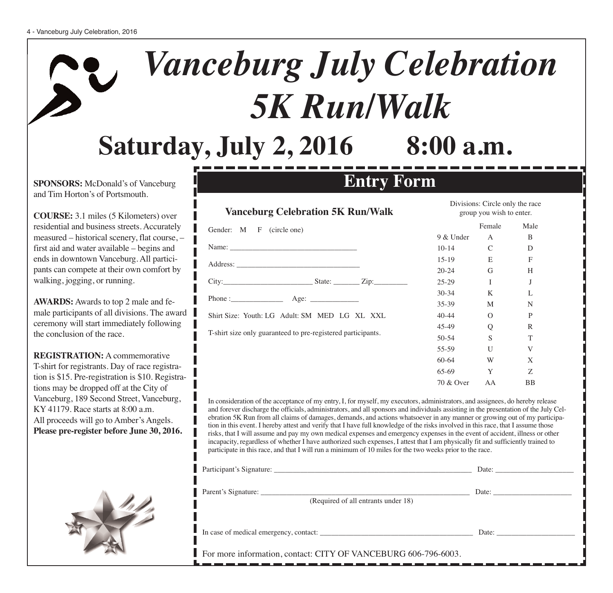# *Vanceburg July Celebration 5K Run/Walk* **Saturday, July 2, 2016 8:00 a.m.**

**SPONSORS:** McDonald's of Vanceburg and Tim Horton's of Portsmouth.

**COURSE:** 3.1 miles (5 Kilometers) over residential and business streets. Accurately measured – historical scenery, flat course, – first aid and water available – begins and ends in downtown Vanceburg. All participants can compete at their own comfort by walking, jogging, or running.

**AWARDS:** Awards to top 2 male and female participants of all divisions. The award ceremony will start immediately following the conclusion of the race.

**REGISTRATION:** A commemorative T-shirt for registrants. Day of race registration is \$15. Pre-registration is \$10. Registrations may be dropped off at the City of Vanceburg, 189 Second Street, Vanceburg, KY 41179. Race starts at 8:00 a.m. All proceeds will go to Amber's Angels. **Please pre-register before June 30, 2016.**

### **Vanceburg Celebration 5K Run/Walk**

| Phone : $\qquad \qquad \text{Age:} \qquad$                   |
|--------------------------------------------------------------|
| Shirt Size: Youth: LG Adult: SM MED LG XL XXL                |
| T-shirt size only guaranteed to pre-registered participants. |
|                                                              |

|                               | 10.17     | ╰        | ◡            |  |
|-------------------------------|-----------|----------|--------------|--|
|                               | $15-19$   | E        | F            |  |
|                               | $20 - 24$ | G        | H            |  |
| $\text{State:}$ $\text{Zip:}$ | $25-29$   | I        | J            |  |
|                               | $30 - 34$ | K        | L            |  |
|                               | $35 - 39$ | M        | N            |  |
| I MED LG XL XXL               | $40 - 44$ | $\Omega$ | $\mathbf{P}$ |  |
| -registered participants.     | 45-49     | Q        | R            |  |
|                               | $50 - 54$ | S        | T            |  |
|                               | 55-59     | U        | V            |  |
|                               | $60 - 64$ | W        | X            |  |
|                               | 65-69     | Y        | Z            |  |
|                               | 70 & Over | AA       | BB           |  |
|                               |           |          |              |  |

Divisions: Circle only the race group you wish to enter.

9 & Under A B  $10-14$   $C$  D

Female Male

In consideration of the acceptance of my entry, I, for myself, my executors, administrators, and assignees, do hereby release and forever discharge the officials, administrators, and all sponsors and individuals assisting in the presentation of the July Celebration 5K Run from all claims of damages, demands, and actions whatsoever in any manner or growing out of my participation in this event. I hereby attest and verify that I have full knowledge of the risks involved in this race, that I assume those risks, that I will assume and pay my own medical expenses and emergency expenses in the event of accident, illness or other incapacity, regardless of whether I have authorized such expenses, I attest that I am physically fit and sufficiently trained to participate in this race, and that I will run a minimum of 10 miles for the two weeks prior to the race.

**Entry Form**

|                                     | Date: |
|-------------------------------------|-------|
| (Required of all entrants under 18) |       |
|                                     | Date: |

For more information, contact: CITY OF VANCEBURG 606-796-6003.

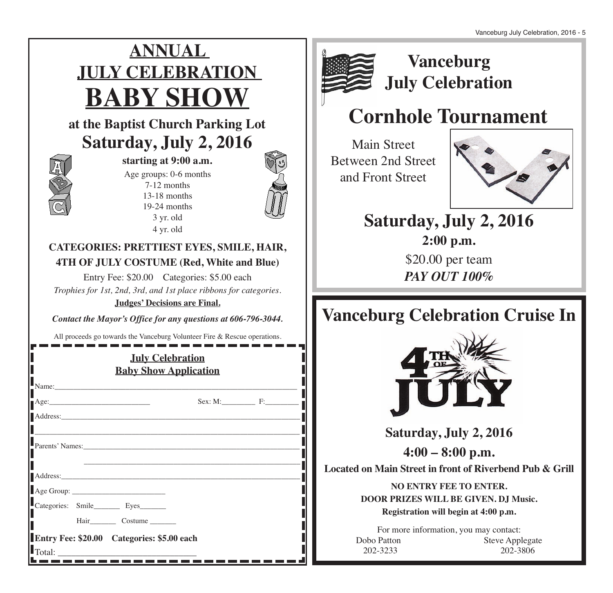# **ANNUAL JULY CELEBRATION BABY SHOW**

### **at the Baptist Church Parking Lot Saturday, July 2, 2016**



**starting at 9:00 a.m.**

Age groups: 0-6 months 7-12 months 13-18 months 19-24 months 3 yr. old 4 yr. old



#### **CATEGORIES: PRETTIEST EYES, SMILE, HAIR, 4TH OF JULY COSTUME (Red, White and Blue)**

Entry Fee: \$20.00 Categories: \$5.00 each *Trophies for 1st, 2nd, 3rd, and 1st place ribbons for categories.* **Judges' Decisions are Final.**

*Contact the Mayor's Office for any questions at 606-796-3044.*

All proceeds go towards the Vanceburg Volunteer Fire & Rescue operations.

| <b>July Celebration</b><br><b>Baby Show Application</b> |  |                                            |                 |  |
|---------------------------------------------------------|--|--------------------------------------------|-----------------|--|
|                                                         |  | Name:                                      |                 |  |
|                                                         |  |                                            |                 |  |
|                                                         |  |                                            |                 |  |
|                                                         |  |                                            | Parents' Names: |  |
|                                                         |  |                                            |                 |  |
|                                                         |  |                                            |                 |  |
|                                                         |  | Categories: Smile__________ Eyes________   |                 |  |
|                                                         |  | Hair________________ Costume ___________   |                 |  |
|                                                         |  | Entry Fee: \$20.00 Categories: \$5.00 each |                 |  |
|                                                         |  |                                            |                 |  |



### **Vanceburg July Celebration**

# **Cornhole Tournament**

Main Street Between 2nd Street and Front Street



## **Saturday, July 2, 2016**

**2:00 p.m.** \$20.00 per team *PAY OUT 100%*

# **Vanceburg Celebration Cruise In**



**Saturday, July 2, 2016**

**4:00 – 8:00 p.m.**

**Located on Main Street in front of Riverbend Pub & Grill**

**NO ENTRY FEE TO ENTER. DOOR PRIZES WILL BE GIVEN. DJ Music. Registration will begin at 4:00 p.m.**

For more information, you may contact: Dobo Patton Steve Applegate 202-3233 202-3806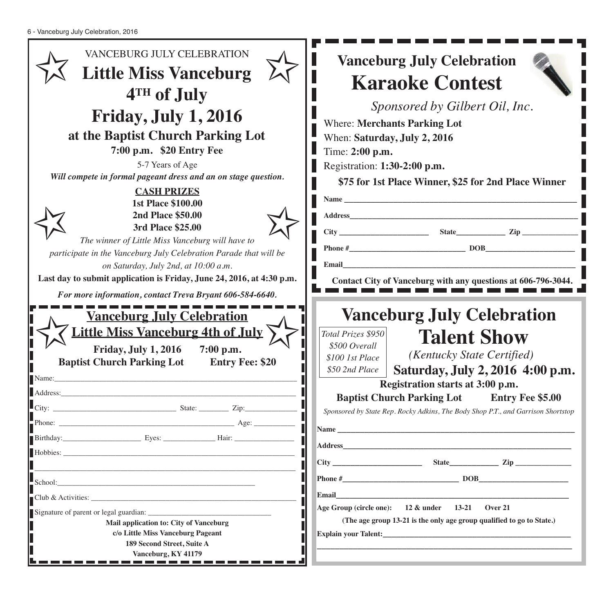| VANCEBURG JULY CELEBRATION<br><b>Little Miss Vanceburg</b>                                                                                                                                                                                                                                                                                                                                                                                                             | <b>Vanceburg July Celebration</b><br><b>Karaoke Contest</b>                                                                                                                                                                                                                                                |
|------------------------------------------------------------------------------------------------------------------------------------------------------------------------------------------------------------------------------------------------------------------------------------------------------------------------------------------------------------------------------------------------------------------------------------------------------------------------|------------------------------------------------------------------------------------------------------------------------------------------------------------------------------------------------------------------------------------------------------------------------------------------------------------|
| 4TH of July<br><b>Friday, July 1, 2016</b><br>at the Baptist Church Parking Lot<br>7:00 p.m. \$20 Entry Fee<br>5-7 Years of Age<br>Will compete in formal pageant dress and an on stage question.<br><b>CASH PRIZES</b><br><b>1st Place \$100.00</b><br><b>2nd Place \$50.00</b><br>3rd Place \$25.00<br>The winner of Little Miss Vanceburg will have to<br>participate in the Vanceburg July Celebration Parade that will be<br>on Saturday, July 2nd, at 10:00 a.m. | Sponsored by Gilbert Oil, Inc.<br><b>Where: Merchants Parking Lot</b><br>When: Saturday, July 2, 2016<br>Time: 2:00 p.m.<br>Registration: 1:30-2:00 p.m.<br>\$75 for 1st Place Winner, \$25 for 2nd Place Winner<br>Name $\_\_$<br><b>Address</b><br>Email                                                 |
| Last day to submit application is Friday, June 24, 2016, at 4:30 p.m.<br>For more information, contact Treva Bryant 606-584-6640.<br><b>Vanceburg July Celebration</b><br><u> Little Miss Vanceburg 4th of July</u><br><b>Friday, July 1, 2016</b><br>7:00 p.m.<br><b>Baptist Church Parking Lot</b><br><b>Entry Fee: \$20</b><br>Name:                                                                                                                                | Contact City of Vanceburg with any questions at 606-796-3044.<br><b>Vanceburg July Celebration</b><br>Total Prizes \$950<br><b>Talent Show</b><br>\$500 Overall<br>(Kentucky State Certified)<br>\$100 1st Place<br>Saturday, July 2, 2016 4:00 p.m.<br>\$50 2nd Place<br>Registration starts at 3:00 p.m. |
| Address:                                                                                                                                                                                                                                                                                                                                                                                                                                                               | <b>Baptist Church Parking Lot Entry Fee \$5.00</b><br>Sponsored by State Rep. Rocky Adkins, The Body Shop P.T., and Garrison Shortstop                                                                                                                                                                     |
| Mail application to: City of Vanceburg                                                                                                                                                                                                                                                                                                                                                                                                                                 | Age Group (circle one): 12 & under 13-21 Over 21<br>(The age group 13-21 is the only age group qualified to go to State.)                                                                                                                                                                                  |
| c/o Little Miss Vanceburg Pageant<br>189 Second Street, Suite A<br>Vanceburg, KY 41179                                                                                                                                                                                                                                                                                                                                                                                 |                                                                                                                                                                                                                                                                                                            |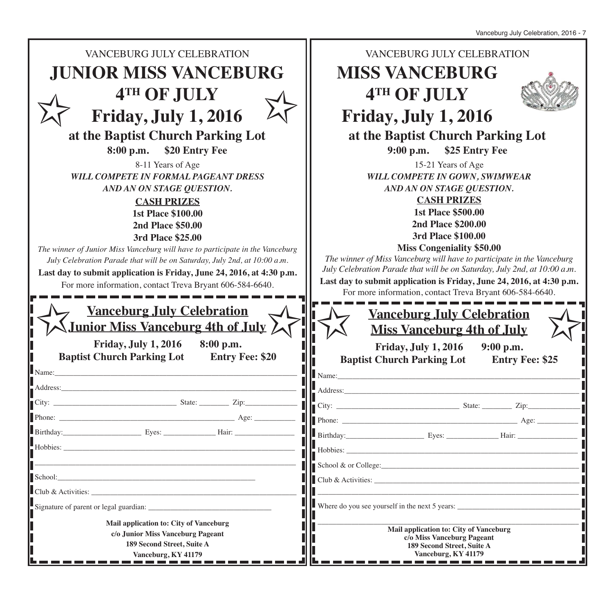Vanceburg July Celebration, 2016 - 7

| <b>JUNIOR MISS VANCEBURG</b><br><b>MISS VANCEBURG</b><br>4TH OF JULY<br>4TH OF JULY<br><b>Friday, July 1, 2016</b><br>Friday, July 1, 2016<br>at the Baptist Church Parking Lot<br>at the Baptist Church Parking Lot<br>\$20 Entry Fee<br>8:00 p.m.<br>\$25 Entry Fee<br>9:00 p.m.<br>15-21 Years of Age<br>8-11 Years of Age<br><b>WILL COMPETE IN FORMAL PAGEANT DRESS</b><br>WILL COMPETE IN GOWN, SWIMWEAR<br>AND AN ON STAGE QUESTION.<br>AND AN ON STAGE QUESTION.<br><b>CASH PRIZES</b><br><b>CASH PRIZES</b><br><b>1st Place \$500.00</b><br><b>1st Place \$100.00</b><br><b>2nd Place \$200.00</b><br><b>2nd Place \$50.00</b><br>3rd Place \$100.00<br>3rd Place \$25.00<br><b>Miss Congeniality \$50.00</b><br>The winner of Junior Miss Vanceburg will have to participate in the Vanceburg<br>The winner of Miss Vanceburg will have to participate in the Vanceburg<br>July Celebration Parade that will be on Saturday, July 2nd, at 10:00 a.m.<br>July Celebration Parade that will be on Saturday, July 2nd, at 10:00 a.m.<br>Last day to submit application is Friday, June 24, 2016, at 4:30 p.m.<br>Last day to submit application is Friday, June 24, 2016, at 4:30 p.m.<br>For more information, contact Treva Bryant 606-584-6640.<br>For more information, contact Treva Bryant 606-584-6640.<br><b>Vanceburg July Celebration</b><br><b>Vanceburg July Celebration</b><br><b>Junior Miss Vanceburg 4th of July /</b><br><b>Miss Vanceburg 4th of July</b><br><b>Friday, July 1, 2016</b><br>8:00 p.m.<br>Friday, July 1, 2016<br>9:00 p.m.<br><b>Baptist Church Parking Lot</b><br><b>Entry Fee: \$20</b><br><b>Baptist Church Parking Lot</b><br><b>Entry Fee: \$25</b><br>Name:<br>Name:<br>Address:<br>Address:<br>$\blacksquare$ School & or College:<br>School: School: School: School: School: School: School: School: School: School: School: School: School: School: School: School: School: School: School: School: School: School: School: School: School: School: School: School<br>Mail application to: City of Vanceburg<br>Mail application to: City of Vanceburg | <b>VANCEBURG JULY CELEBRATION</b> | VANCEBURG JULY CELEBRATION |
|----------------------------------------------------------------------------------------------------------------------------------------------------------------------------------------------------------------------------------------------------------------------------------------------------------------------------------------------------------------------------------------------------------------------------------------------------------------------------------------------------------------------------------------------------------------------------------------------------------------------------------------------------------------------------------------------------------------------------------------------------------------------------------------------------------------------------------------------------------------------------------------------------------------------------------------------------------------------------------------------------------------------------------------------------------------------------------------------------------------------------------------------------------------------------------------------------------------------------------------------------------------------------------------------------------------------------------------------------------------------------------------------------------------------------------------------------------------------------------------------------------------------------------------------------------------------------------------------------------------------------------------------------------------------------------------------------------------------------------------------------------------------------------------------------------------------------------------------------------------------------------------------------------------------------------------------------------------------------------------------------------------------------------------------------------------------------------------------------------|-----------------------------------|----------------------------|
|                                                                                                                                                                                                                                                                                                                                                                                                                                                                                                                                                                                                                                                                                                                                                                                                                                                                                                                                                                                                                                                                                                                                                                                                                                                                                                                                                                                                                                                                                                                                                                                                                                                                                                                                                                                                                                                                                                                                                                                                                                                                                                          |                                   |                            |
|                                                                                                                                                                                                                                                                                                                                                                                                                                                                                                                                                                                                                                                                                                                                                                                                                                                                                                                                                                                                                                                                                                                                                                                                                                                                                                                                                                                                                                                                                                                                                                                                                                                                                                                                                                                                                                                                                                                                                                                                                                                                                                          |                                   |                            |
|                                                                                                                                                                                                                                                                                                                                                                                                                                                                                                                                                                                                                                                                                                                                                                                                                                                                                                                                                                                                                                                                                                                                                                                                                                                                                                                                                                                                                                                                                                                                                                                                                                                                                                                                                                                                                                                                                                                                                                                                                                                                                                          |                                   |                            |
|                                                                                                                                                                                                                                                                                                                                                                                                                                                                                                                                                                                                                                                                                                                                                                                                                                                                                                                                                                                                                                                                                                                                                                                                                                                                                                                                                                                                                                                                                                                                                                                                                                                                                                                                                                                                                                                                                                                                                                                                                                                                                                          |                                   |                            |
|                                                                                                                                                                                                                                                                                                                                                                                                                                                                                                                                                                                                                                                                                                                                                                                                                                                                                                                                                                                                                                                                                                                                                                                                                                                                                                                                                                                                                                                                                                                                                                                                                                                                                                                                                                                                                                                                                                                                                                                                                                                                                                          |                                   |                            |
|                                                                                                                                                                                                                                                                                                                                                                                                                                                                                                                                                                                                                                                                                                                                                                                                                                                                                                                                                                                                                                                                                                                                                                                                                                                                                                                                                                                                                                                                                                                                                                                                                                                                                                                                                                                                                                                                                                                                                                                                                                                                                                          |                                   |                            |
|                                                                                                                                                                                                                                                                                                                                                                                                                                                                                                                                                                                                                                                                                                                                                                                                                                                                                                                                                                                                                                                                                                                                                                                                                                                                                                                                                                                                                                                                                                                                                                                                                                                                                                                                                                                                                                                                                                                                                                                                                                                                                                          |                                   |                            |
|                                                                                                                                                                                                                                                                                                                                                                                                                                                                                                                                                                                                                                                                                                                                                                                                                                                                                                                                                                                                                                                                                                                                                                                                                                                                                                                                                                                                                                                                                                                                                                                                                                                                                                                                                                                                                                                                                                                                                                                                                                                                                                          |                                   |                            |
|                                                                                                                                                                                                                                                                                                                                                                                                                                                                                                                                                                                                                                                                                                                                                                                                                                                                                                                                                                                                                                                                                                                                                                                                                                                                                                                                                                                                                                                                                                                                                                                                                                                                                                                                                                                                                                                                                                                                                                                                                                                                                                          |                                   |                            |
|                                                                                                                                                                                                                                                                                                                                                                                                                                                                                                                                                                                                                                                                                                                                                                                                                                                                                                                                                                                                                                                                                                                                                                                                                                                                                                                                                                                                                                                                                                                                                                                                                                                                                                                                                                                                                                                                                                                                                                                                                                                                                                          |                                   |                            |
|                                                                                                                                                                                                                                                                                                                                                                                                                                                                                                                                                                                                                                                                                                                                                                                                                                                                                                                                                                                                                                                                                                                                                                                                                                                                                                                                                                                                                                                                                                                                                                                                                                                                                                                                                                                                                                                                                                                                                                                                                                                                                                          |                                   |                            |
|                                                                                                                                                                                                                                                                                                                                                                                                                                                                                                                                                                                                                                                                                                                                                                                                                                                                                                                                                                                                                                                                                                                                                                                                                                                                                                                                                                                                                                                                                                                                                                                                                                                                                                                                                                                                                                                                                                                                                                                                                                                                                                          |                                   |                            |
|                                                                                                                                                                                                                                                                                                                                                                                                                                                                                                                                                                                                                                                                                                                                                                                                                                                                                                                                                                                                                                                                                                                                                                                                                                                                                                                                                                                                                                                                                                                                                                                                                                                                                                                                                                                                                                                                                                                                                                                                                                                                                                          |                                   |                            |
|                                                                                                                                                                                                                                                                                                                                                                                                                                                                                                                                                                                                                                                                                                                                                                                                                                                                                                                                                                                                                                                                                                                                                                                                                                                                                                                                                                                                                                                                                                                                                                                                                                                                                                                                                                                                                                                                                                                                                                                                                                                                                                          |                                   |                            |
|                                                                                                                                                                                                                                                                                                                                                                                                                                                                                                                                                                                                                                                                                                                                                                                                                                                                                                                                                                                                                                                                                                                                                                                                                                                                                                                                                                                                                                                                                                                                                                                                                                                                                                                                                                                                                                                                                                                                                                                                                                                                                                          |                                   |                            |
|                                                                                                                                                                                                                                                                                                                                                                                                                                                                                                                                                                                                                                                                                                                                                                                                                                                                                                                                                                                                                                                                                                                                                                                                                                                                                                                                                                                                                                                                                                                                                                                                                                                                                                                                                                                                                                                                                                                                                                                                                                                                                                          |                                   |                            |
|                                                                                                                                                                                                                                                                                                                                                                                                                                                                                                                                                                                                                                                                                                                                                                                                                                                                                                                                                                                                                                                                                                                                                                                                                                                                                                                                                                                                                                                                                                                                                                                                                                                                                                                                                                                                                                                                                                                                                                                                                                                                                                          |                                   |                            |
|                                                                                                                                                                                                                                                                                                                                                                                                                                                                                                                                                                                                                                                                                                                                                                                                                                                                                                                                                                                                                                                                                                                                                                                                                                                                                                                                                                                                                                                                                                                                                                                                                                                                                                                                                                                                                                                                                                                                                                                                                                                                                                          |                                   |                            |
|                                                                                                                                                                                                                                                                                                                                                                                                                                                                                                                                                                                                                                                                                                                                                                                                                                                                                                                                                                                                                                                                                                                                                                                                                                                                                                                                                                                                                                                                                                                                                                                                                                                                                                                                                                                                                                                                                                                                                                                                                                                                                                          |                                   |                            |
|                                                                                                                                                                                                                                                                                                                                                                                                                                                                                                                                                                                                                                                                                                                                                                                                                                                                                                                                                                                                                                                                                                                                                                                                                                                                                                                                                                                                                                                                                                                                                                                                                                                                                                                                                                                                                                                                                                                                                                                                                                                                                                          |                                   |                            |
|                                                                                                                                                                                                                                                                                                                                                                                                                                                                                                                                                                                                                                                                                                                                                                                                                                                                                                                                                                                                                                                                                                                                                                                                                                                                                                                                                                                                                                                                                                                                                                                                                                                                                                                                                                                                                                                                                                                                                                                                                                                                                                          |                                   |                            |
|                                                                                                                                                                                                                                                                                                                                                                                                                                                                                                                                                                                                                                                                                                                                                                                                                                                                                                                                                                                                                                                                                                                                                                                                                                                                                                                                                                                                                                                                                                                                                                                                                                                                                                                                                                                                                                                                                                                                                                                                                                                                                                          |                                   |                            |
|                                                                                                                                                                                                                                                                                                                                                                                                                                                                                                                                                                                                                                                                                                                                                                                                                                                                                                                                                                                                                                                                                                                                                                                                                                                                                                                                                                                                                                                                                                                                                                                                                                                                                                                                                                                                                                                                                                                                                                                                                                                                                                          |                                   |                            |
|                                                                                                                                                                                                                                                                                                                                                                                                                                                                                                                                                                                                                                                                                                                                                                                                                                                                                                                                                                                                                                                                                                                                                                                                                                                                                                                                                                                                                                                                                                                                                                                                                                                                                                                                                                                                                                                                                                                                                                                                                                                                                                          |                                   |                            |
|                                                                                                                                                                                                                                                                                                                                                                                                                                                                                                                                                                                                                                                                                                                                                                                                                                                                                                                                                                                                                                                                                                                                                                                                                                                                                                                                                                                                                                                                                                                                                                                                                                                                                                                                                                                                                                                                                                                                                                                                                                                                                                          |                                   |                            |
|                                                                                                                                                                                                                                                                                                                                                                                                                                                                                                                                                                                                                                                                                                                                                                                                                                                                                                                                                                                                                                                                                                                                                                                                                                                                                                                                                                                                                                                                                                                                                                                                                                                                                                                                                                                                                                                                                                                                                                                                                                                                                                          |                                   |                            |
|                                                                                                                                                                                                                                                                                                                                                                                                                                                                                                                                                                                                                                                                                                                                                                                                                                                                                                                                                                                                                                                                                                                                                                                                                                                                                                                                                                                                                                                                                                                                                                                                                                                                                                                                                                                                                                                                                                                                                                                                                                                                                                          |                                   |                            |
|                                                                                                                                                                                                                                                                                                                                                                                                                                                                                                                                                                                                                                                                                                                                                                                                                                                                                                                                                                                                                                                                                                                                                                                                                                                                                                                                                                                                                                                                                                                                                                                                                                                                                                                                                                                                                                                                                                                                                                                                                                                                                                          |                                   |                            |
|                                                                                                                                                                                                                                                                                                                                                                                                                                                                                                                                                                                                                                                                                                                                                                                                                                                                                                                                                                                                                                                                                                                                                                                                                                                                                                                                                                                                                                                                                                                                                                                                                                                                                                                                                                                                                                                                                                                                                                                                                                                                                                          |                                   |                            |
|                                                                                                                                                                                                                                                                                                                                                                                                                                                                                                                                                                                                                                                                                                                                                                                                                                                                                                                                                                                                                                                                                                                                                                                                                                                                                                                                                                                                                                                                                                                                                                                                                                                                                                                                                                                                                                                                                                                                                                                                                                                                                                          |                                   |                            |
|                                                                                                                                                                                                                                                                                                                                                                                                                                                                                                                                                                                                                                                                                                                                                                                                                                                                                                                                                                                                                                                                                                                                                                                                                                                                                                                                                                                                                                                                                                                                                                                                                                                                                                                                                                                                                                                                                                                                                                                                                                                                                                          |                                   |                            |
| c/o Miss Vanceburg Pageant<br>189 Second Street, Suite A                                                                                                                                                                                                                                                                                                                                                                                                                                                                                                                                                                                                                                                                                                                                                                                                                                                                                                                                                                                                                                                                                                                                                                                                                                                                                                                                                                                                                                                                                                                                                                                                                                                                                                                                                                                                                                                                                                                                                                                                                                                 | c/o Junior Miss Vanceburg Pageant |                            |
| 189 Second Street, Suite A<br>Vanceburg, KY 41179<br>Vanceburg, KY 41179<br>-------------                                                                                                                                                                                                                                                                                                                                                                                                                                                                                                                                                                                                                                                                                                                                                                                                                                                                                                                                                                                                                                                                                                                                                                                                                                                                                                                                                                                                                                                                                                                                                                                                                                                                                                                                                                                                                                                                                                                                                                                                                |                                   |                            |